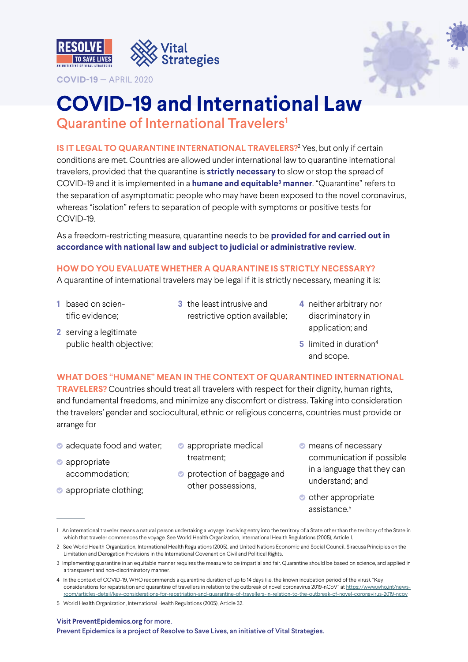

**COVID-19** — APRIL 2020



# **COVID-19 and International Law**

Quarantine of International Travelers<sup>1</sup>

**IS IT LEGAL TO QUARANTINE INTERNATIONAL TRAVELERS?<sup>2</sup> Yes, but only if certain** conditions are met. Countries are allowed under international law to quarantine international travelers, provided that the quarantine is **strictly necessary** to slow or stop the spread of COVID-19 and it is implemented in a **humane and equitable3 manner**. "Quarantine" refers to the separation of asymptomatic people who may have been exposed to the novel coronavirus, whereas "isolation" refers to separation of people with symptoms or positive tests for COVID-19.

As a freedom-restricting measure, quarantine needs to be **provided for and carried out in accordance with national law and subject to judicial or administrative review**.

# **HOW DO YOU EVALUATE WHETHER A QUARANTINE IS STRICTLY NECESSARY?**

A quarantine of international travelers may be legal if it is strictly necessary, meaning it is:

- **1** based on scientific evidence;
- **3** the least intrusive and restrictive option available;
- **4** neither arbitrary nor discriminatory in application; and

**2** serving a legitimate public health objective;

**5** limited in duration<sup>4</sup> and scope.

### **WHAT DOES "HUMANE" MEAN IN THE CONTEXT OF QUARANTINED INTERNATIONAL**

**TRAVELERS?** Countries should treat all travelers with respect for their dignity, human rights, and fundamental freedoms, and minimize any discomfort or distress. Taking into consideration the travelers' gender and sociocultural, ethnic or religious concerns, countries must provide or arrange for

- adequate food and water;
- **C** appropriate accommodation;
- appropriate clothing;
- appropriate medical treatment;
- **•** protection of baggage and other possessions,
- $\bullet$  means of necessary communication if possible in a language that they can understand; and
- **O** other appropriate assistance.<sup>5</sup>

#### Visit **[PreventEpidemics.org](http://PreventEpidemics.org)** for more.

Prevent Epidemics is a project of Resolve to Save Lives, an initiative of Vital Strategies.

<sup>1</sup> An international traveler means a natural person undertaking a voyage involving entry into the territory of a State other than the territory of the State in which that traveler commences the voyage. See World Health Organization, International Health Regulations (2005), Article 1.

<sup>2</sup> See World Health Organization, International Health Regulations (2005), and United Nations Economic and Social Council. Siracusa Principles on the Limitation and Derogation Provisions in the International Covenant on Civil and Political Rights.

<sup>3</sup> Implementing quarantine in an equitable manner requires the measure to be impartial and fair. Quarantine should be based on science, and applied in a transparent and non-discriminatory manner.

<sup>4</sup> In the context of COVID-19, WHO recommends a quarantine duration of up to 14 days (i.e. the known incubation period of the virus). "Key considerations for repatriation and quarantine of travellers in relation to the outbreak of novel coronavirus 2019-nCoV" at [https://www.who.int/news](https://www.who.int/news-room/articles-detail/key-considerations-for-repatriation-and-quarantine-of-travellers-in-relation-to-the-outbreak-of-novel-coronavirus-2019-ncov)[room/articles-detail/key-considerations-for-repatriation-and-quarantine-of-travellers-in-relation-to-the-outbreak-of-novel-coronavirus-2019-ncov](https://www.who.int/news-room/articles-detail/key-considerations-for-repatriation-and-quarantine-of-travellers-in-relation-to-the-outbreak-of-novel-coronavirus-2019-ncov)

<sup>5</sup> World Health Organization, International Health Regulations (2005), Article 32.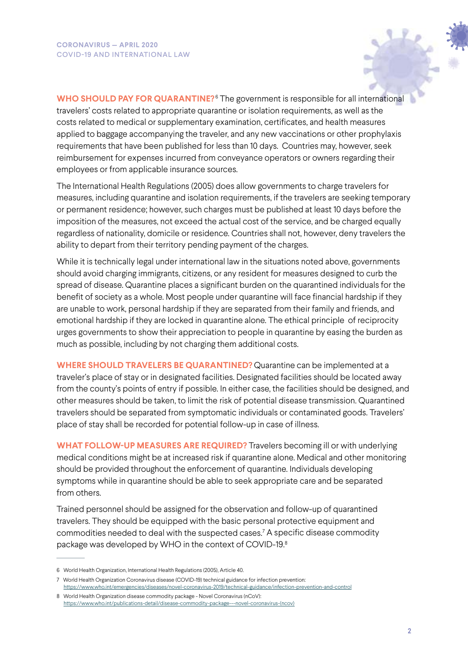**WHO SHOULD PAY FOR QUARANTINE?**<sup>6</sup> The government is responsible for all international travelers' costs related to appropriate quarantine or isolation requirements, as well as the costs related to medical or supplementary examination, certificates, and health measures applied to baggage accompanying the traveler, and any new vaccinations or other prophylaxis requirements that have been published for less than 10 days. Countries may, however, seek reimbursement for expenses incurred from conveyance operators or owners regarding their employees or from applicable insurance sources.

The International Health Regulations (2005) does allow governments to charge travelers for measures, including quarantine and isolation requirements, if the travelers are seeking temporary or permanent residence; however, such charges must be published at least 10 days before the imposition of the measures, not exceed the actual cost of the service, and be charged equally regardless of nationality, domicile or residence. Countries shall not, however, deny travelers the ability to depart from their territory pending payment of the charges.

While it is technically legal under international law in the situations noted above, governments should avoid charging immigrants, citizens, or any resident for measures designed to curb the spread of disease. Quarantine places a significant burden on the quarantined individuals for the benefit of society as a whole. Most people under quarantine will face financial hardship if they are unable to work, personal hardship if they are separated from their family and friends, and emotional hardship if they are locked in quarantine alone. The ethical principle of reciprocity urges governments to show their appreciation to people in quarantine by easing the burden as much as possible, including by not charging them additional costs.

**WHERE SHOULD TRAVELERS BE QUARANTINED?** Quarantine can be implemented at a traveler's place of stay or in designated facilities. Designated facilities should be located away from the county's points of entry if possible. In either case, the facilities should be designed, and other measures should be taken, to limit the risk of potential disease transmission. Quarantined travelers should be separated from symptomatic individuals or contaminated goods. Travelers' place of stay shall be recorded for potential follow-up in case of illness.

**WHAT FOLLOW-UP MEASURES ARE REQUIRED?** Travelers becoming ill or with underlying medical conditions might be at increased risk if quarantine alone. Medical and other monitoring should be provided throughout the enforcement of quarantine. Individuals developing symptoms while in quarantine should be able to seek appropriate care and be separated from others.

Trained personnel should be assigned for the observation and follow-up of quarantined travelers. They should be equipped with the basic personal protective equipment and commodities needed to deal with the suspected cases.7 A specific disease commodity package was developed by WHO in the context of COVID-19.8

<sup>6</sup> World Health Organization, International Health Regulations (2005), Article 40.

<sup>7</sup> World Health Organization Coronavirus disease (COVID-19) technical guidance for infection prevention: <https://www.who.int/emergencies/diseases/novel-coronavirus-2019/technical-guidance/infection-prevention-and-control>

<sup>8</sup> World Health Organization disease commodity package - Novel Coronavirus (nCoV): [https://www.who.int/publications-detail/disease-commodity-package---novel-coronavirus-\(ncov\)](https://www.who.int/publications-detail/disease-commodity-package---novel-coronavirus-(ncov))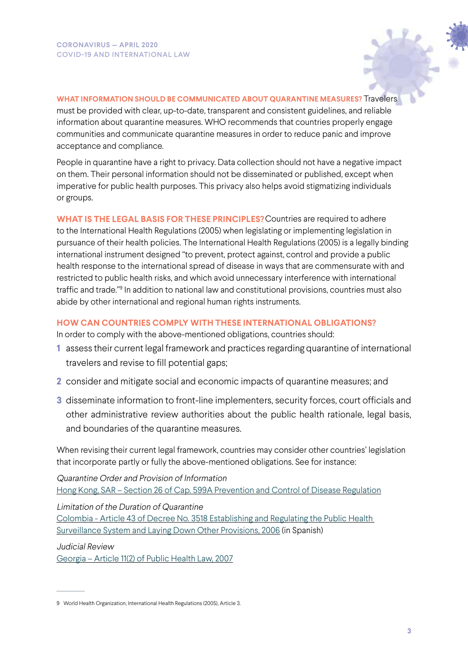

**WHAT INFORMATION SHOULD BE COMMUNICATED ABOUT QUARANTINE MEASURES?** Travelers must be provided with clear, up-to-date, transparent and consistent guidelines, and reliable information about quarantine measures. WHO recommends that countries properly engage communities and communicate quarantine measures in order to reduce panic and improve acceptance and compliance.

People in quarantine have a right to privacy. Data collection should not have a negative impact on them. Their personal information should not be disseminated or published, except when imperative for public health purposes. This privacy also helps avoid stigmatizing individuals or groups.

**WHAT IS THE LEGAL BASIS FOR THESE PRINCIPLES?**Countries are required to adhere to the International Health Regulations (2005) when legislating or implementing legislation in pursuance of their health policies. The International Health Regulations (2005) is a legally binding international instrument designed "to prevent, protect against, control and provide a public health response to the international spread of disease in ways that are commensurate with and restricted to public health risks, and which avoid unnecessary interference with international traffic and trade."9 In addition to national law and constitutional provisions, countries must also abide by other international and regional human rights instruments.

# **HOW CAN COUNTRIES COMPLY WITH THESE INTERNATIONAL OBLIGATIONS?**

In order to comply with the above-mentioned obligations, countries should:

- **1** assess their current legal framework and practices regarding quarantine of international travelers and revise to fill potential gaps;
- **2** consider and mitigate social and economic impacts of quarantine measures; and
- **3** disseminate information to front-line implementers, security forces, court officials and other administrative review authorities about the public health rationale, legal basis, and boundaries of the quarantine measures.

When revising their current legal framework, countries may consider other countries' legislation that incorporate partly or fully the above-mentioned obligations. See for instance:

Quarantine Order and Provision of Information [Hong Kong, SAR – Section 26 of Cap. 599A Prevention and Control of Disease Regulation](https://www.elegislation.gov.hk/hk/cap599A?pmc=0&xpid=ID_1438403500916_002&m=0&pm=1)

Limitation of the Duration of Quarantine [Colombia - Article 43 of Decree No. 3518 Establishing and Regulating the Public Health](http://www.vertic.org/media/National%20Legislation/Colombia/CO_Decreto_3518_de_2006.pdf) 

[Surveillance System and Laying Down Other Provisions, 2006](http://www.vertic.org/media/National%20Legislation/Colombia/CO_Decreto_3518_de_2006.pdf) (in Spanish)

Judicial Review

[Georgia – Article 11\(2\) of Public Health Law, 2007](https://matsne.gov.ge/en/document/download/21784/14/en/pdf)

<sup>9</sup> World Health Organization, International Health Regulations (2005), Article 3.